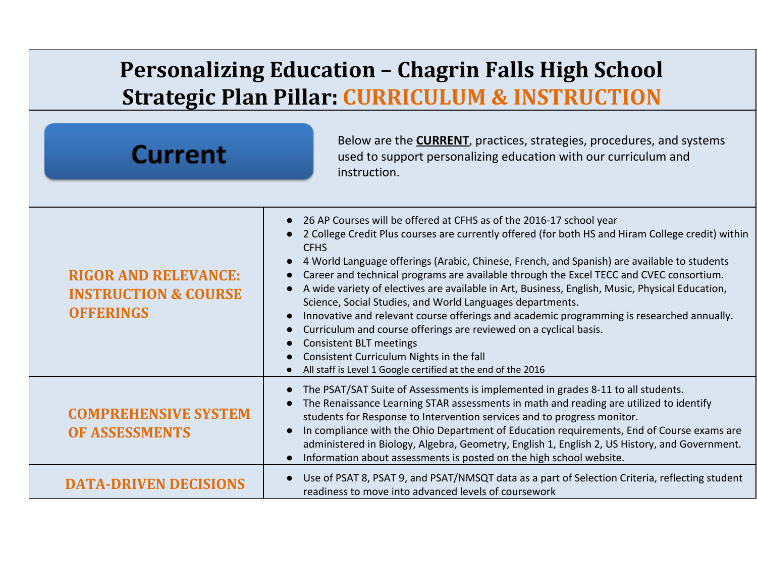## **Personalizing Education – Chagrin Falls High School Strategic Plan Pillar: CURRICULUM & INSTRUCTION**

| <b>Current</b>                                                                     | Below are the <b>CURRENT</b> , practices, strategies, procedures, and systems<br>used to support personalizing education with our curriculum and<br>instruction.                                                                                                                                                                                                                                                                                                                                                                                                                                                                                                                                                                                                                                                                                                  |
|------------------------------------------------------------------------------------|-------------------------------------------------------------------------------------------------------------------------------------------------------------------------------------------------------------------------------------------------------------------------------------------------------------------------------------------------------------------------------------------------------------------------------------------------------------------------------------------------------------------------------------------------------------------------------------------------------------------------------------------------------------------------------------------------------------------------------------------------------------------------------------------------------------------------------------------------------------------|
| <b>RIGOR AND RELEVANCE:</b><br><b>INSTRUCTION &amp; COURSE</b><br><b>OFFERINGS</b> | 26 AP Courses will be offered at CFHS as of the 2016-17 school year<br>2 College Credit Plus courses are currently offered (for both HS and Hiram College credit) within<br><b>CFHS</b><br>4 World Language offerings (Arabic, Chinese, French, and Spanish) are available to students<br>Career and technical programs are available through the Excel TECC and CVEC consortium.<br>A wide variety of electives are available in Art, Business, English, Music, Physical Education,<br>Science, Social Studies, and World Languages departments.<br>Innovative and relevant course offerings and academic programming is researched annually.<br>Curriculum and course offerings are reviewed on a cyclical basis.<br><b>Consistent BLT meetings</b><br>Consistent Curriculum Nights in the fall<br>All staff is Level 1 Google certified at the end of the 2016 |
| <b>COMPREHENSIVE SYSTEM</b><br><b>OF ASSESSMENTS</b>                               | The PSAT/SAT Suite of Assessments is implemented in grades 8-11 to all students.<br>The Renaissance Learning STAR assessments in math and reading are utilized to identify<br>students for Response to Intervention services and to progress monitor.<br>In compliance with the Ohio Department of Education requirements, End of Course exams are<br>administered in Biology, Algebra, Geometry, English 1, English 2, US History, and Government.<br>Information about assessments is posted on the high school website.                                                                                                                                                                                                                                                                                                                                        |
| <b>DATA-DRIVEN DECISIONS</b>                                                       | Use of PSAT 8, PSAT 9, and PSAT/NMSQT data as a part of Selection Criteria, reflecting student<br>readiness to move into advanced levels of coursework                                                                                                                                                                                                                                                                                                                                                                                                                                                                                                                                                                                                                                                                                                            |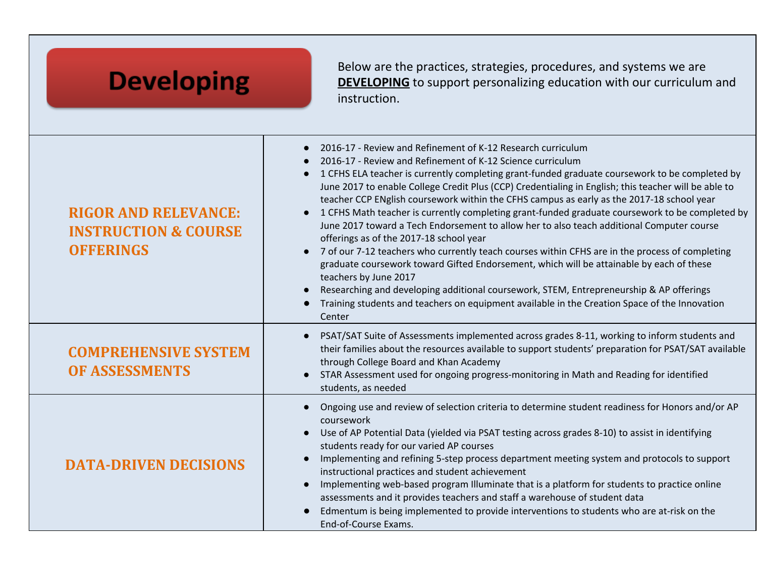| <b>Developing</b>                                                                  | Below are the practices, strategies, procedures, and systems we are<br><b>DEVELOPING</b> to support personalizing education with our curriculum and<br>instruction.                                                                                                                                                                                                                                                                                                                                                                                                                                                                                                                                                                                                                                                                                                                                                                                                                                                                                                                                                                 |
|------------------------------------------------------------------------------------|-------------------------------------------------------------------------------------------------------------------------------------------------------------------------------------------------------------------------------------------------------------------------------------------------------------------------------------------------------------------------------------------------------------------------------------------------------------------------------------------------------------------------------------------------------------------------------------------------------------------------------------------------------------------------------------------------------------------------------------------------------------------------------------------------------------------------------------------------------------------------------------------------------------------------------------------------------------------------------------------------------------------------------------------------------------------------------------------------------------------------------------|
| <b>RIGOR AND RELEVANCE:</b><br><b>INSTRUCTION &amp; COURSE</b><br><b>OFFERINGS</b> | 2016-17 - Review and Refinement of K-12 Research curriculum<br>$\bullet$<br>2016-17 - Review and Refinement of K-12 Science curriculum<br>1 CFHS ELA teacher is currently completing grant-funded graduate coursework to be completed by<br>$\bullet$<br>June 2017 to enable College Credit Plus (CCP) Credentialing in English; this teacher will be able to<br>teacher CCP ENglish coursework within the CFHS campus as early as the 2017-18 school year<br>1 CFHS Math teacher is currently completing grant-funded graduate coursework to be completed by<br>June 2017 toward a Tech Endorsement to allow her to also teach additional Computer course<br>offerings as of the 2017-18 school year<br>7 of our 7-12 teachers who currently teach courses within CFHS are in the process of completing<br>graduate coursework toward Gifted Endorsement, which will be attainable by each of these<br>teachers by June 2017<br>Researching and developing additional coursework, STEM, Entrepreneurship & AP offerings<br>Training students and teachers on equipment available in the Creation Space of the Innovation<br>Center |
| <b>COMPREHENSIVE SYSTEM</b><br><b>OF ASSESSMENTS</b>                               | PSAT/SAT Suite of Assessments implemented across grades 8-11, working to inform students and<br>their families about the resources available to support students' preparation for PSAT/SAT available<br>through College Board and Khan Academy<br>STAR Assessment used for ongoing progress-monitoring in Math and Reading for identified<br>students, as needed                                                                                                                                                                                                                                                                                                                                                                                                                                                                                                                                                                                                                                                                                                                                                                    |
| <b>DATA-DRIVEN DECISIONS</b>                                                       | Ongoing use and review of selection criteria to determine student readiness for Honors and/or AP<br>coursework<br>Use of AP Potential Data (yielded via PSAT testing across grades 8-10) to assist in identifying<br>students ready for our varied AP courses<br>Implementing and refining 5-step process department meeting system and protocols to support<br>instructional practices and student achievement<br>Implementing web-based program Illuminate that is a platform for students to practice online<br>assessments and it provides teachers and staff a warehouse of student data<br>Edmentum is being implemented to provide interventions to students who are at-risk on the<br>End-of-Course Exams.                                                                                                                                                                                                                                                                                                                                                                                                                  |